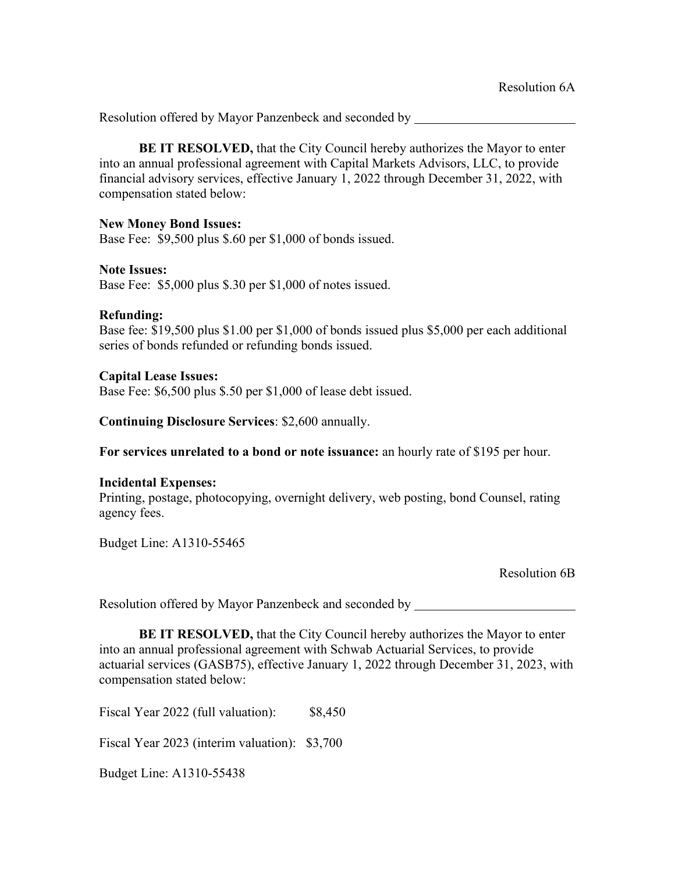**BE IT RESOLVED,** that the City Council hereby authorizes the Mayor to enter into an annual professional agreement with Capital Markets Advisors, LLC, to provide financial advisory services, effective January 1, 2022 through December 31, 2022, with compensation stated below:

### **New Money Bond Issues:**

Base Fee: \$9,500 plus \$.60 per \$1,000 of bonds issued.

## **Note Issues:**

Base Fee: \$5,000 plus \$.30 per \$1,000 of notes issued.

## **Refunding:**

Base fee: \$19,500 plus \$1.00 per \$1,000 of bonds issued plus \$5,000 per each additional series of bonds refunded or refunding bonds issued.

## **Capital Lease Issues:**

Base Fee: \$6,500 plus \$.50 per \$1,000 of lease debt issued.

**Continuing Disclosure Services**: \$2,600 annually.

**For services unrelated to a bond or note issuance:** an hourly rate of \$195 per hour.

# **Incidental Expenses:**

Printing, postage, photocopying, overnight delivery, web posting, bond Counsel, rating agency fees.

Budget Line: A1310-55465

Resolution 6B

Resolution offered by Mayor Panzenbeck and seconded by

**BE IT RESOLVED,** that the City Council hereby authorizes the Mayor to enter into an annual professional agreement with Schwab Actuarial Services, to provide actuarial services (GASB75), effective January 1, 2022 through December 31, 2023, with compensation stated below:

Fiscal Year 2022 (full valuation): \$8,450

Fiscal Year 2023 (interim valuation): \$3,700

Budget Line: A1310-55438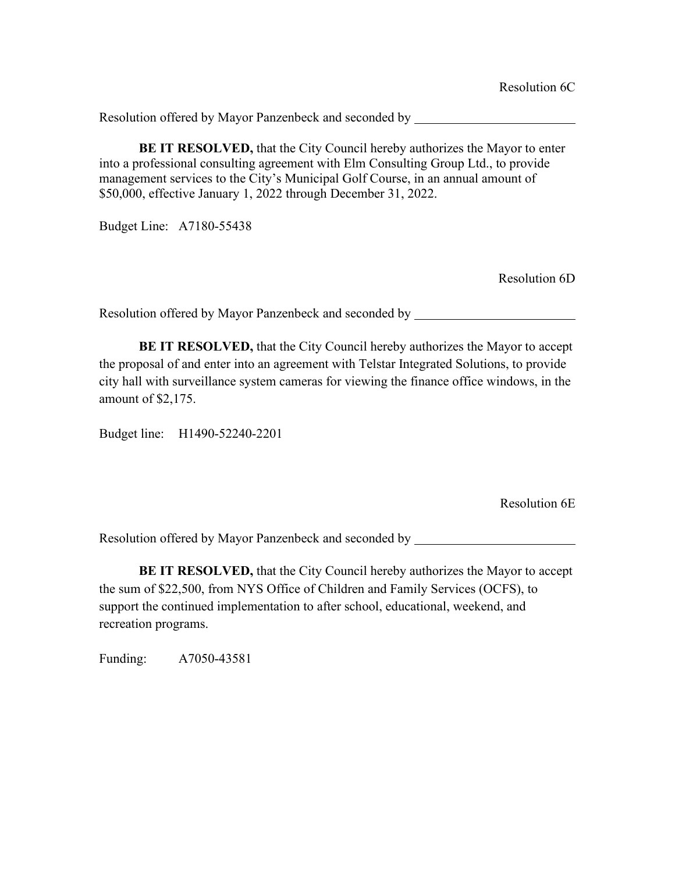**BE IT RESOLVED,** that the City Council hereby authorizes the Mayor to enter into a professional consulting agreement with Elm Consulting Group Ltd., to provide management services to the City's Municipal Golf Course, in an annual amount of \$50,000, effective January 1, 2022 through December 31, 2022.

Budget Line: A7180-55438

Resolution 6D

Resolution offered by Mayor Panzenbeck and seconded by

**BE IT RESOLVED,** that the City Council hereby authorizes the Mayor to accept the proposal of and enter into an agreement with Telstar Integrated Solutions, to provide city hall with surveillance system cameras for viewing the finance office windows, in the amount of \$2,175.

Budget line: H1490-52240-2201

Resolution 6E

Resolution offered by Mayor Panzenbeck and seconded by

**BE IT RESOLVED,** that the City Council hereby authorizes the Mayor to accept the sum of \$22,500, from NYS Office of Children and Family Services (OCFS), to support the continued implementation to after school, educational, weekend, and recreation programs.

Funding: A7050-43581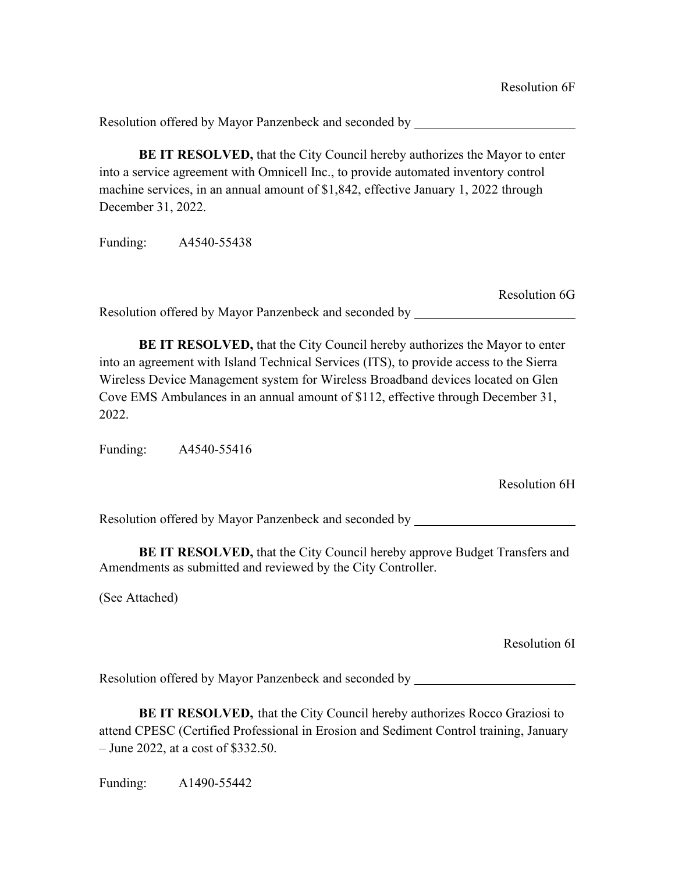**BE IT RESOLVED,** that the City Council hereby authorizes the Mayor to enter into a service agreement with Omnicell Inc., to provide automated inventory control machine services, in an annual amount of \$1,842, effective January 1, 2022 through December 31, 2022.

Funding: A4540-55438

Resolution 6G

Resolution offered by Mayor Panzenbeck and seconded by

**BE IT RESOLVED,** that the City Council hereby authorizes the Mayor to enter into an agreement with Island Technical Services (ITS), to provide access to the Sierra Wireless Device Management system for Wireless Broadband devices located on Glen Cove EMS Ambulances in an annual amount of \$112, effective through December 31, 2022.

Funding: A4540-55416

Resolution 6H

Resolution offered by Mayor Panzenbeck and seconded by

**BE IT RESOLVED,** that the City Council hereby approve Budget Transfers and Amendments as submitted and reviewed by the City Controller.

(See Attached)

Resolution 6I

Resolution offered by Mayor Panzenbeck and seconded by

**BE IT RESOLVED,** that the City Council hereby authorizes Rocco Graziosi to attend CPESC (Certified Professional in Erosion and Sediment Control training, January – June 2022, at a cost of \$332.50.

Funding: A1490-55442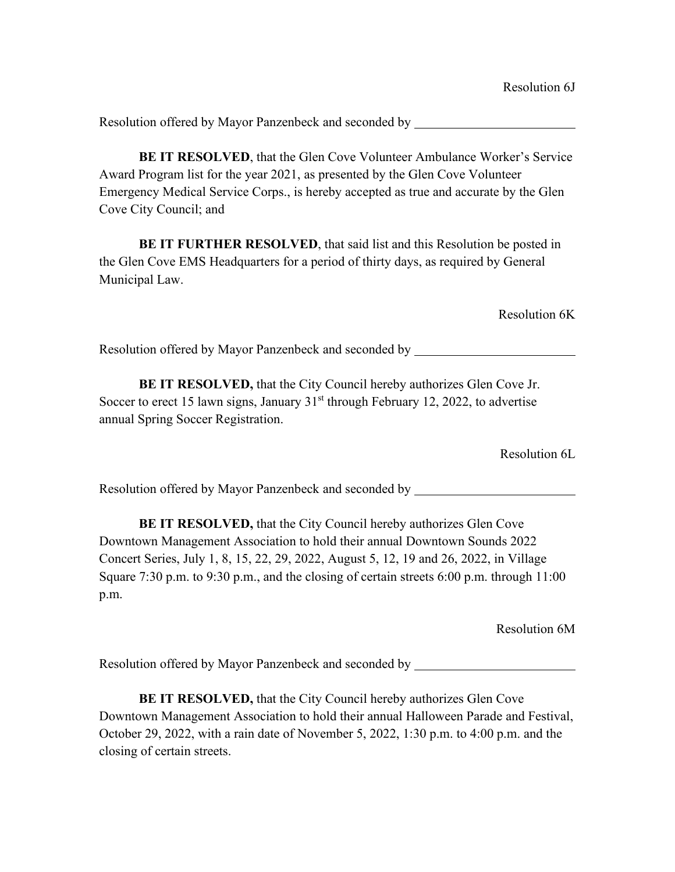**BE IT RESOLVED**, that the Glen Cove Volunteer Ambulance Worker's Service Award Program list for the year 2021, as presented by the Glen Cove Volunteer Emergency Medical Service Corps., is hereby accepted as true and accurate by the Glen Cove City Council; and

**BE IT FURTHER RESOLVED**, that said list and this Resolution be posted in the Glen Cove EMS Headquarters for a period of thirty days, as required by General Municipal Law.

Resolution 6K

Resolution offered by Mayor Panzenbeck and seconded by

**BE IT RESOLVED,** that the City Council hereby authorizes Glen Cove Jr. Soccer to erect 15 lawn signs, January  $31<sup>st</sup>$  through February 12, 2022, to advertise annual Spring Soccer Registration.

Resolution 6L

Resolution offered by Mayor Panzenbeck and seconded by

**BE IT RESOLVED,** that the City Council hereby authorizes Glen Cove Downtown Management Association to hold their annual Downtown Sounds 2022 Concert Series, July 1, 8, 15, 22, 29, 2022, August 5, 12, 19 and 26, 2022, in Village Square 7:30 p.m. to 9:30 p.m., and the closing of certain streets 6:00 p.m. through 11:00 p.m.

Resolution 6M

Resolution offered by Mayor Panzenbeck and seconded by

**BE IT RESOLVED,** that the City Council hereby authorizes Glen Cove Downtown Management Association to hold their annual Halloween Parade and Festival, October 29, 2022, with a rain date of November 5, 2022, 1:30 p.m. to 4:00 p.m. and the closing of certain streets.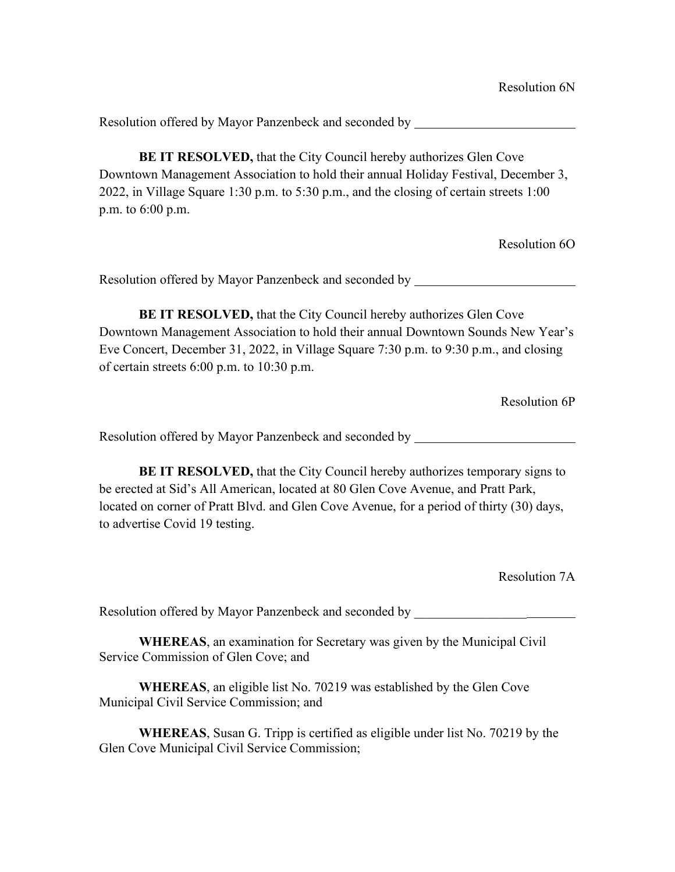**BE IT RESOLVED,** that the City Council hereby authorizes Glen Cove Downtown Management Association to hold their annual Holiday Festival, December 3, 2022, in Village Square 1:30 p.m. to 5:30 p.m., and the closing of certain streets 1:00 p.m. to 6:00 p.m.

Resolution 6O

Resolution offered by Mayor Panzenbeck and seconded by

**BE IT RESOLVED,** that the City Council hereby authorizes Glen Cove Downtown Management Association to hold their annual Downtown Sounds New Year's Eve Concert, December 31, 2022, in Village Square 7:30 p.m. to 9:30 p.m., and closing of certain streets 6:00 p.m. to 10:30 p.m.

Resolution 6P

Resolution offered by Mayor Panzenbeck and seconded by

**BE IT RESOLVED,** that the City Council hereby authorizes temporary signs to be erected at Sid's All American, located at 80 Glen Cove Avenue, and Pratt Park, located on corner of Pratt Blvd. and Glen Cove Avenue, for a period of thirty (30) days, to advertise Covid 19 testing.

Resolution 7A

Resolution offered by Mayor Panzenbeck and seconded by \_\_\_\_\_\_\_\_\_\_\_\_\_\_\_\_\_\_\_\_\_\_\_\_\_

**WHEREAS**, an examination for Secretary was given by the Municipal Civil Service Commission of Glen Cove; and

**WHEREAS**, an eligible list No. 70219 was established by the Glen Cove Municipal Civil Service Commission; and

**WHEREAS**, Susan G. Tripp is certified as eligible under list No. 70219 by the Glen Cove Municipal Civil Service Commission;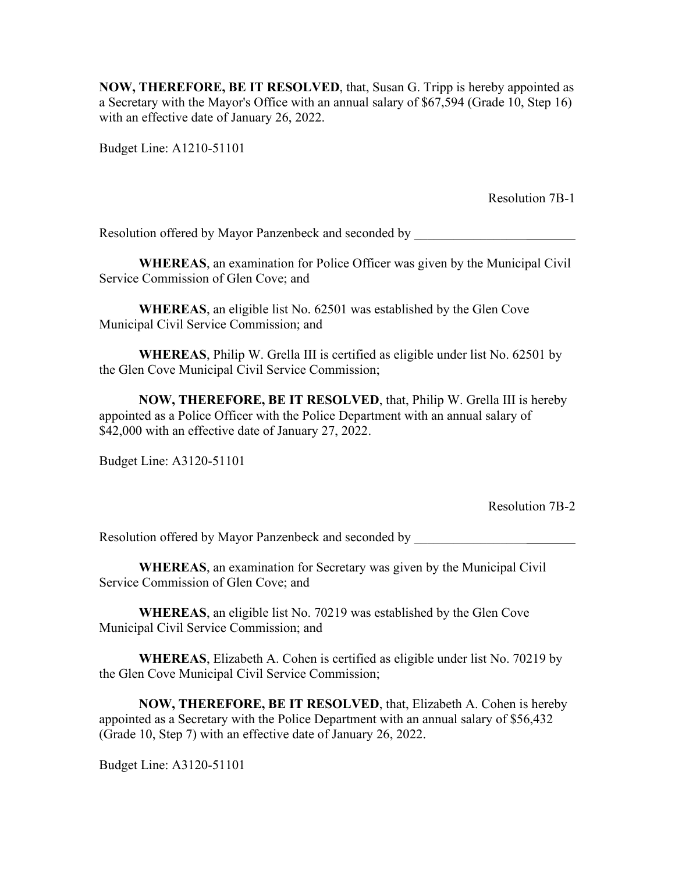**NOW, THEREFORE, BE IT RESOLVED**, that, Susan G. Tripp is hereby appointed as a Secretary with the Mayor's Office with an annual salary of \$67,594 (Grade 10, Step 16) with an effective date of January 26, 2022.

Budget Line: A1210-51101

Resolution 7B-1

Resolution offered by Mayor Panzenbeck and seconded by  $\qquad \qquad$ 

**WHEREAS**, an examination for Police Officer was given by the Municipal Civil Service Commission of Glen Cove; and

**WHEREAS**, an eligible list No. 62501 was established by the Glen Cove Municipal Civil Service Commission; and

**WHEREAS**, Philip W. Grella III is certified as eligible under list No. 62501 by the Glen Cove Municipal Civil Service Commission;

**NOW, THEREFORE, BE IT RESOLVED**, that, Philip W. Grella III is hereby appointed as a Police Officer with the Police Department with an annual salary of \$42,000 with an effective date of January 27, 2022.

Budget Line: A3120-51101

Resolution 7B-2

Resolution offered by Mayor Panzenbeck and seconded by  $\qquad \qquad$ 

**WHEREAS**, an examination for Secretary was given by the Municipal Civil Service Commission of Glen Cove; and

**WHEREAS**, an eligible list No. 70219 was established by the Glen Cove Municipal Civil Service Commission; and

**WHEREAS**, Elizabeth A. Cohen is certified as eligible under list No. 70219 by the Glen Cove Municipal Civil Service Commission;

**NOW, THEREFORE, BE IT RESOLVED**, that, Elizabeth A. Cohen is hereby appointed as a Secretary with the Police Department with an annual salary of \$56,432 (Grade 10, Step 7) with an effective date of January 26, 2022.

Budget Line: A3120-51101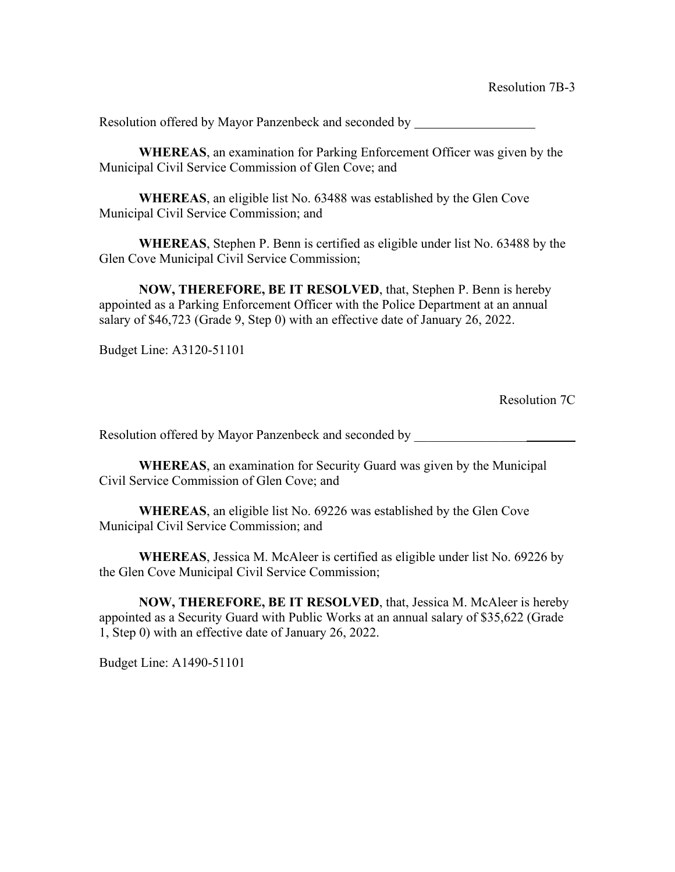**WHEREAS**, an examination for Parking Enforcement Officer was given by the Municipal Civil Service Commission of Glen Cove; and

**WHEREAS**, an eligible list No. 63488 was established by the Glen Cove Municipal Civil Service Commission; and

**WHEREAS**, Stephen P. Benn is certified as eligible under list No. 63488 by the Glen Cove Municipal Civil Service Commission;

**NOW, THEREFORE, BE IT RESOLVED**, that, Stephen P. Benn is hereby appointed as a Parking Enforcement Officer with the Police Department at an annual salary of \$46,723 (Grade 9, Step 0) with an effective date of January 26, 2022.

Budget Line: A3120-51101

Resolution 7C

Resolution offered by Mayor Panzenbeck and seconded by

**WHEREAS**, an examination for Security Guard was given by the Municipal Civil Service Commission of Glen Cove; and

**WHEREAS**, an eligible list No. 69226 was established by the Glen Cove Municipal Civil Service Commission; and

**WHEREAS**, Jessica M. McAleer is certified as eligible under list No. 69226 by the Glen Cove Municipal Civil Service Commission;

**NOW, THEREFORE, BE IT RESOLVED**, that, Jessica M. McAleer is hereby appointed as a Security Guard with Public Works at an annual salary of \$35,622 (Grade 1, Step 0) with an effective date of January 26, 2022.

Budget Line: A1490-51101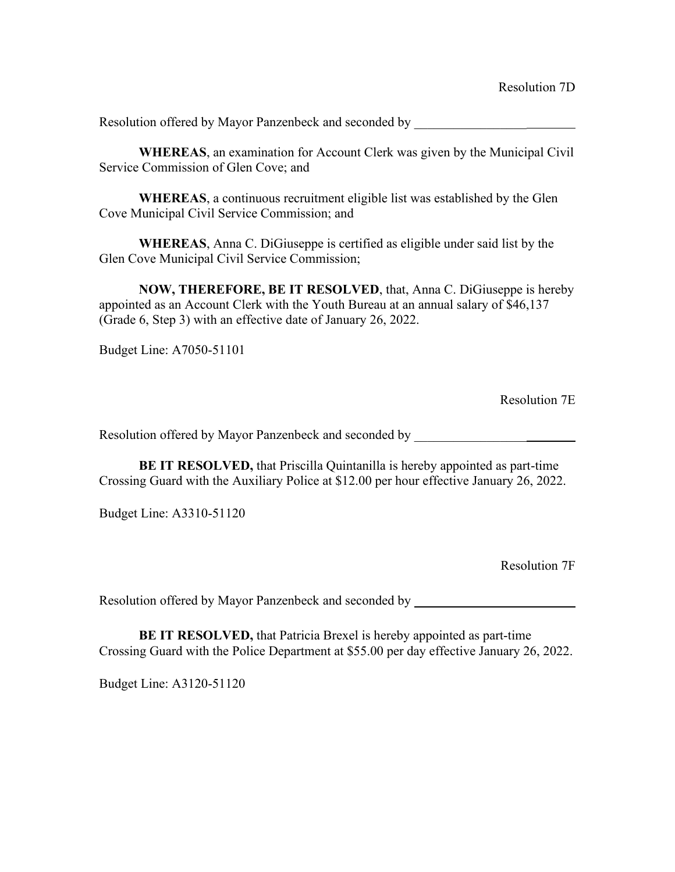**WHEREAS**, an examination for Account Clerk was given by the Municipal Civil Service Commission of Glen Cove; and

**WHEREAS**, a continuous recruitment eligible list was established by the Glen Cove Municipal Civil Service Commission; and

**WHEREAS**, Anna C. DiGiuseppe is certified as eligible under said list by the Glen Cove Municipal Civil Service Commission;

**NOW, THEREFORE, BE IT RESOLVED**, that, Anna C. DiGiuseppe is hereby appointed as an Account Clerk with the Youth Bureau at an annual salary of \$46,137 (Grade 6, Step 3) with an effective date of January 26, 2022.

Budget Line: A7050-51101

Resolution 7E

Resolution offered by Mayor Panzenbeck and seconded by \_\_\_\_\_\_\_\_\_\_\_\_\_\_\_\_\_\_\_\_\_\_\_\_\_

**BE IT RESOLVED,** that Priscilla Quintanilla is hereby appointed as part-time Crossing Guard with the Auxiliary Police at \$12.00 per hour effective January 26, 2022.

Budget Line: A3310-51120

Resolution 7F

Resolution offered by Mayor Panzenbeck and seconded by \_\_\_\_\_\_\_\_\_\_\_\_\_\_\_\_\_\_\_\_\_\_\_\_\_

**BE IT RESOLVED,** that Patricia Brexel is hereby appointed as part-time Crossing Guard with the Police Department at \$55.00 per day effective January 26, 2022.

Budget Line: A3120-51120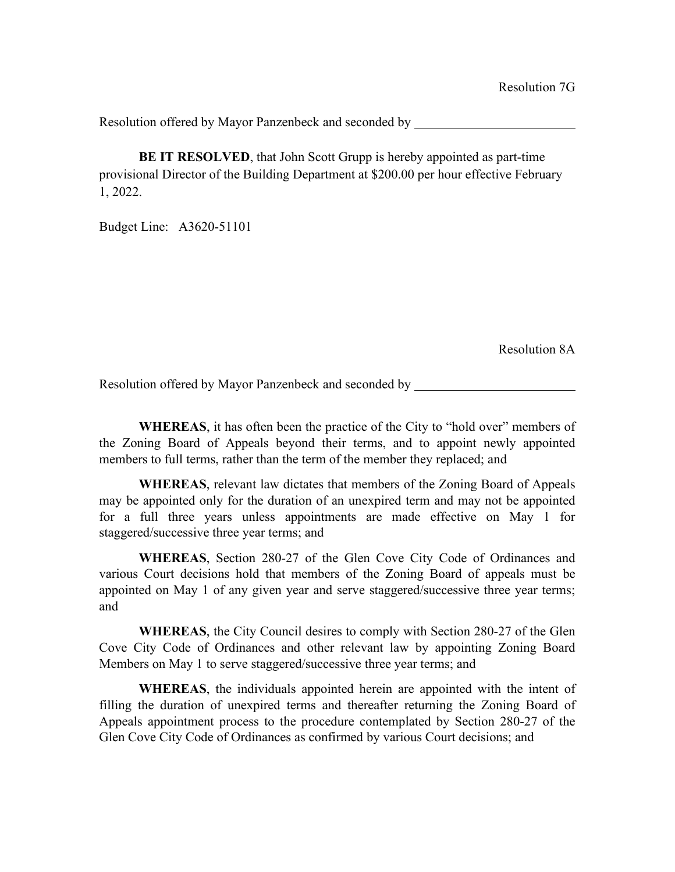**BE IT RESOLVED**, that John Scott Grupp is hereby appointed as part-time provisional Director of the Building Department at \$200.00 per hour effective February 1, 2022.

Budget Line: A3620-51101

Resolution 8A

Resolution offered by Mayor Panzenbeck and seconded by

**WHEREAS**, it has often been the practice of the City to "hold over" members of the Zoning Board of Appeals beyond their terms, and to appoint newly appointed members to full terms, rather than the term of the member they replaced; and

**WHEREAS**, relevant law dictates that members of the Zoning Board of Appeals may be appointed only for the duration of an unexpired term and may not be appointed for a full three years unless appointments are made effective on May 1 for staggered/successive three year terms; and

**WHEREAS**, Section 280-27 of the Glen Cove City Code of Ordinances and various Court decisions hold that members of the Zoning Board of appeals must be appointed on May 1 of any given year and serve staggered/successive three year terms; and

**WHEREAS**, the City Council desires to comply with Section 280-27 of the Glen Cove City Code of Ordinances and other relevant law by appointing Zoning Board Members on May 1 to serve staggered/successive three year terms; and

**WHEREAS**, the individuals appointed herein are appointed with the intent of filling the duration of unexpired terms and thereafter returning the Zoning Board of Appeals appointment process to the procedure contemplated by Section 280-27 of the Glen Cove City Code of Ordinances as confirmed by various Court decisions; and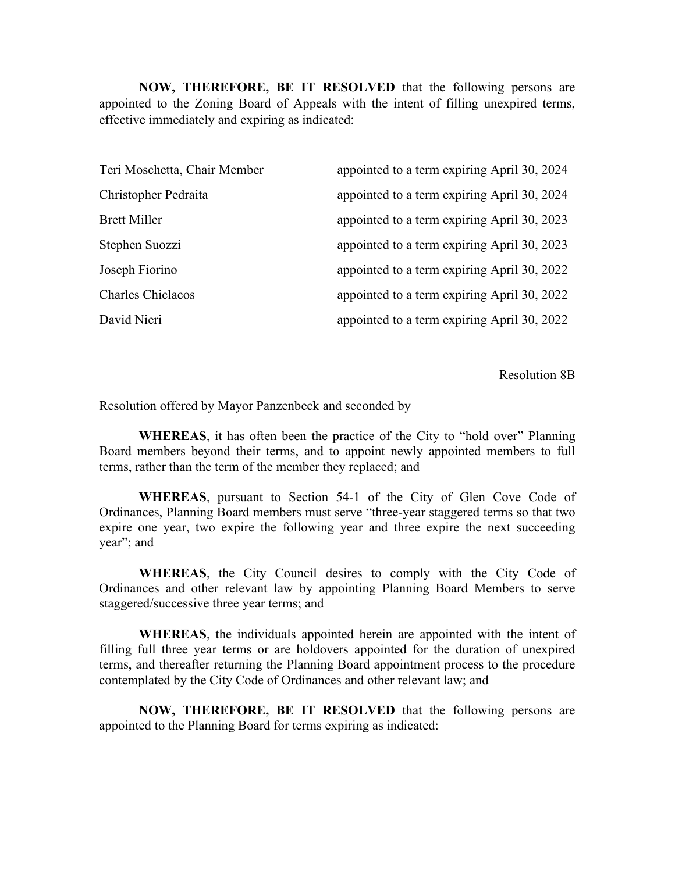**NOW, THEREFORE, BE IT RESOLVED** that the following persons are appointed to the Zoning Board of Appeals with the intent of filling unexpired terms, effective immediately and expiring as indicated:

| appointed to a term expiring April 30, 2024 |
|---------------------------------------------|
| appointed to a term expiring April 30, 2024 |
| appointed to a term expiring April 30, 2023 |
| appointed to a term expiring April 30, 2023 |
| appointed to a term expiring April 30, 2022 |
| appointed to a term expiring April 30, 2022 |
| appointed to a term expiring April 30, 2022 |
|                                             |

Resolution 8B

Resolution offered by Mayor Panzenbeck and seconded by

**WHEREAS**, it has often been the practice of the City to "hold over" Planning Board members beyond their terms, and to appoint newly appointed members to full terms, rather than the term of the member they replaced; and

**WHEREAS**, pursuant to Section 54-1 of the City of Glen Cove Code of Ordinances, Planning Board members must serve "three-year staggered terms so that two expire one year, two expire the following year and three expire the next succeeding year"; and

**WHEREAS**, the City Council desires to comply with the City Code of Ordinances and other relevant law by appointing Planning Board Members to serve staggered/successive three year terms; and

**WHEREAS**, the individuals appointed herein are appointed with the intent of filling full three year terms or are holdovers appointed for the duration of unexpired terms, and thereafter returning the Planning Board appointment process to the procedure contemplated by the City Code of Ordinances and other relevant law; and

**NOW, THEREFORE, BE IT RESOLVED** that the following persons are appointed to the Planning Board for terms expiring as indicated: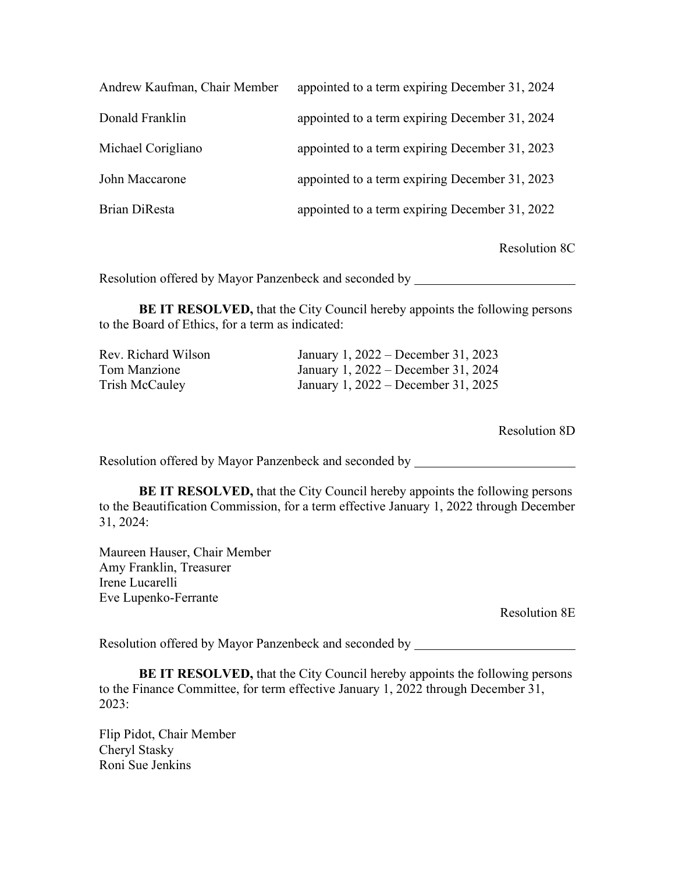| Andrew Kaufman, Chair Member | appointed to a term expiring December 31, 2024 |
|------------------------------|------------------------------------------------|
| Donald Franklin              | appointed to a term expiring December 31, 2024 |
| Michael Corigliano           | appointed to a term expiring December 31, 2023 |
| John Maccarone               | appointed to a term expiring December 31, 2023 |
| Brian DiResta                | appointed to a term expiring December 31, 2022 |

Resolution 8C

Resolution offered by Mayor Panzenbeck and seconded by

**BE IT RESOLVED,** that the City Council hereby appoints the following persons to the Board of Ethics, for a term as indicated:

| Rev. Richard Wilson | January 1, 2022 – December 31, 2023 |
|---------------------|-------------------------------------|
| Tom Manzione        | January 1, 2022 – December 31, 2024 |
| Trish McCauley      | January 1, 2022 – December 31, 2025 |

Resolution 8D

Resolution offered by Mayor Panzenbeck and seconded by

**BE IT RESOLVED, that the City Council hereby appoints the following persons** to the Beautification Commission, for a term effective January 1, 2022 through December 31, 2024:

Maureen Hauser, Chair Member Amy Franklin, Treasurer Irene Lucarelli Eve Lupenko-Ferrante

Resolution 8E

Resolution offered by Mayor Panzenbeck and seconded by

**BE IT RESOLVED,** that the City Council hereby appoints the following persons to the Finance Committee, for term effective January 1, 2022 through December 31, 2023:

Flip Pidot, Chair Member Cheryl Stasky Roni Sue Jenkins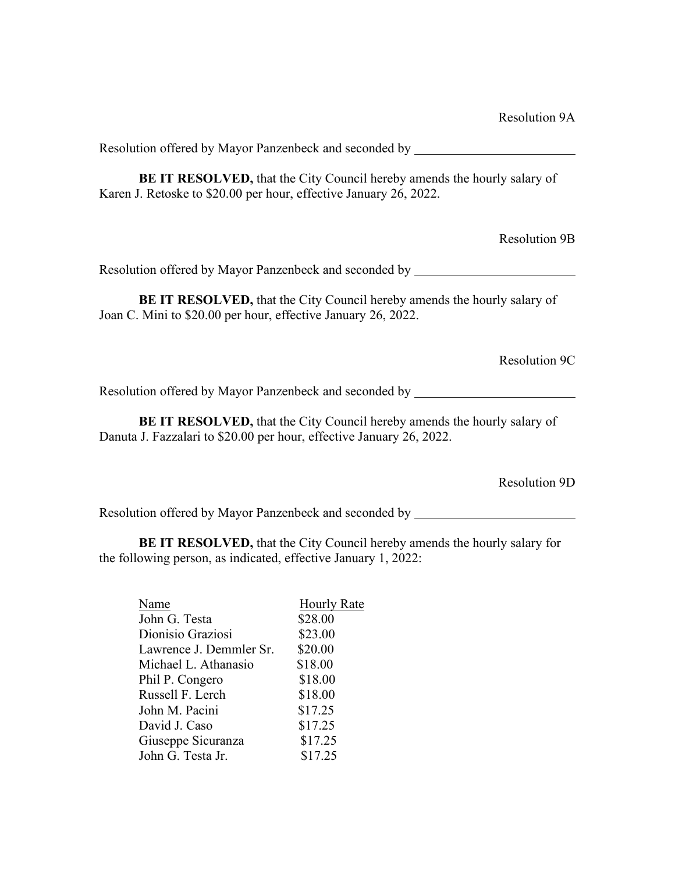**BE IT RESOLVED,** that the City Council hereby amends the hourly salary of Karen J. Retoske to \$20.00 per hour, effective January 26, 2022.

Resolution 9B

Resolution offered by Mayor Panzenbeck and seconded by

**BE IT RESOLVED,** that the City Council hereby amends the hourly salary of Joan C. Mini to \$20.00 per hour, effective January 26, 2022.

Resolution 9C

Resolution offered by Mayor Panzenbeck and seconded by

**BE IT RESOLVED,** that the City Council hereby amends the hourly salary of Danuta J. Fazzalari to \$20.00 per hour, effective January 26, 2022.

Resolution 9D

Resolution offered by Mayor Panzenbeck and seconded by

**BE IT RESOLVED,** that the City Council hereby amends the hourly salary for the following person, as indicated, effective January 1, 2022:

| Name                    | <b>Hourly Rate</b> |
|-------------------------|--------------------|
| John G. Testa           | \$28.00            |
| Dionisio Graziosi       | \$23.00            |
| Lawrence J. Demmler Sr. | \$20.00            |
| Michael L. Athanasio    | \$18.00            |
| Phil P. Congero         | \$18.00            |
| Russell F. Lerch        | \$18.00            |
| John M. Pacini          | \$17.25            |
| David J. Caso           | \$17.25            |
| Giuseppe Sicuranza      | \$17.25            |
| John G. Testa Jr.       | \$17.25            |